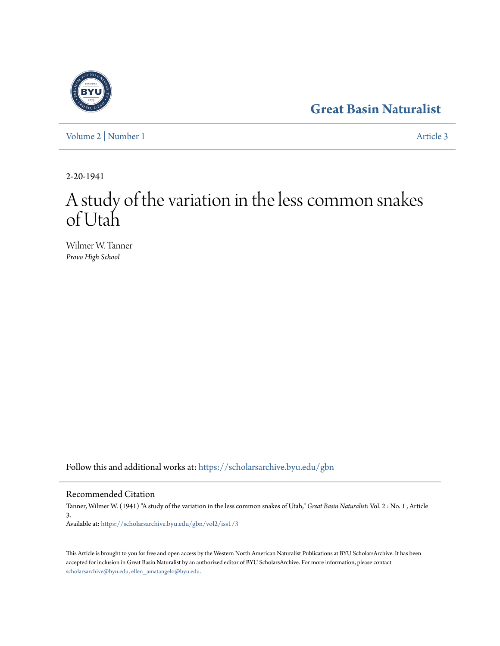## **[Great Basin Naturalist](https://scholarsarchive.byu.edu/gbn?utm_source=scholarsarchive.byu.edu%2Fgbn%2Fvol2%2Fiss1%2F3&utm_medium=PDF&utm_campaign=PDFCoverPages)**

[Volume 2](https://scholarsarchive.byu.edu/gbn/vol2?utm_source=scholarsarchive.byu.edu%2Fgbn%2Fvol2%2Fiss1%2F3&utm_medium=PDF&utm_campaign=PDFCoverPages) | [Number 1](https://scholarsarchive.byu.edu/gbn/vol2/iss1?utm_source=scholarsarchive.byu.edu%2Fgbn%2Fvol2%2Fiss1%2F3&utm_medium=PDF&utm_campaign=PDFCoverPages) [Article 3](https://scholarsarchive.byu.edu/gbn/vol2/iss1/3?utm_source=scholarsarchive.byu.edu%2Fgbn%2Fvol2%2Fiss1%2F3&utm_medium=PDF&utm_campaign=PDFCoverPages)

2-20-1941

# A study of the variation in the less common snakes of Utah

Wilmer W. Tanner *Provo High School*

Follow this and additional works at: [https://scholarsarchive.byu.edu/gbn](https://scholarsarchive.byu.edu/gbn?utm_source=scholarsarchive.byu.edu%2Fgbn%2Fvol2%2Fiss1%2F3&utm_medium=PDF&utm_campaign=PDFCoverPages)

### Recommended Citation

Tanner, Wilmer W. (1941) "A study of the variation in the less common snakes of Utah," *Great Basin Naturalist*: Vol. 2 : No. 1 , Article 3. Available at: [https://scholarsarchive.byu.edu/gbn/vol2/iss1/3](https://scholarsarchive.byu.edu/gbn/vol2/iss1/3?utm_source=scholarsarchive.byu.edu%2Fgbn%2Fvol2%2Fiss1%2F3&utm_medium=PDF&utm_campaign=PDFCoverPages)

This Article is brought to you for free and open access by the Western North American Naturalist Publications at BYU ScholarsArchive. It has been accepted for inclusion in Great Basin Naturalist by an authorized editor of BYU ScholarsArchive. For more information, please contact [scholarsarchive@byu.edu, ellen\\_amatangelo@byu.edu.](mailto:scholarsarchive@byu.edu,%20ellen_amatangelo@byu.edu)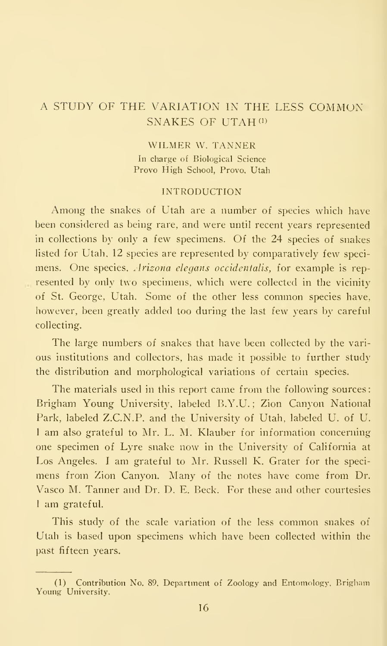## A STUDY OF THE VARIATION IN THE LESS COMMON SNAKES OF UTAH<sup>(1)</sup>

WILMER W. TANNER In charge of Biological Science Prove High School, Provo, Utah

#### INTRODUCTION

Among the snakes of Utah are <sup>a</sup> number of species which have been considered as being rare, and were until recent years represented in collections by only a few specimens. Of the 24 species of snakes listed for Utah, 12 species are represented by comparatively few speci mens. One species, Arizona elegans occidentalis, for example is represented by only two specimens, which were collected in the vicinity of St. George, Utah. Some of the other less common species have, however, been greatly added too during the last few years by careful collecting.

The large numbers of snakes that have been collected by the vari ous institutions and collectors, has made it possible to further study the distribution and morphological variations of certain species.

The materials used in this report came from the following sources: Brigham Young University, labeled B.Y.U. ; Zion Canyon National Park, labeled Z.C.N.P. and the University of Utah, labeled U. of U. <sup>I</sup> am also grateful to Mr. L. M. Klauber for information concerning one specimen of Lyre snake now in the University of California at Los Angeles. <sup>I</sup> am grateful to Mr. Russell K. Grater for the speci mens from Zion Canyon. Many of the notes have come from Dr. Vasco M. Tanner and Dr. D. E. Beck. For these and other courtesies <sup>1</sup> am grateful.

This study of the scale variation of the less common snakes of Utah is based upon specimens which have been collected within the past fifteen years.

<sup>(1)</sup> Contribution No. 89, Department of Zoology and Entomology, Brigliam Young University.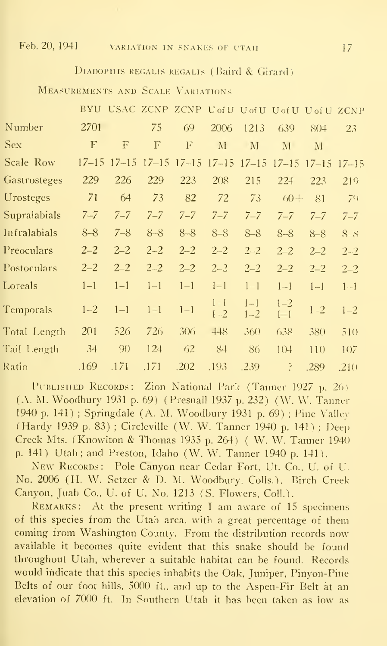Feb. 20, 1941

#### 17

#### DIADOPHIS REGALIS REGALIS (Baird & Girard)

MEASUREMENTS AND SCALE VARIATIONS

|              |             |                     |             |             |                         |                    | BYU USAC ZCNP ZCNP U of U U of U U of U U of U ZCNP |                     |         |
|--------------|-------------|---------------------|-------------|-------------|-------------------------|--------------------|-----------------------------------------------------|---------------------|---------|
| Number       | 2701        |                     | 75          | 69          | 2006                    | 1213               | 639                                                 | 804                 | 23      |
| <b>Sex</b>   | $\mathbf F$ | F                   | $\mathbf F$ | $\mathbf F$ | $\rm M$                 | M                  | $\mathbf{M}$                                        | $\mathbf{M}$        |         |
| Scale Row    |             | $17 - 15$ $17 - 15$ | $17 - 15$   |             | $17-15$ $17-15$ $17-15$ |                    | $17 - 15$                                           | $17 - 15$ $17 - 15$ |         |
| Gastrosteges | 229         | 226                 | 229         | 223         | 208                     | 215                | 224                                                 | 223                 | 219     |
| Urosteges    | 71          | 64                  | 73          | 82          | 72                      | 73                 | $60 +$                                              | 81                  | 79      |
| Supralabials | $7 - 7$     | $7 - 7$             | $7 - 7$     | $7 - 7$     | $7 - 7$                 | $7 - 7$            | $7 - 7$                                             | $7 - 7$             | $7 - 7$ |
| Infralabials | $8 - 8$     | $7 - 8$             | $8 - 8$     | $8 - 8$     | $8 - 8$                 | $8 - 8$            | $8 - 8$                                             | $8 - 8$             | $8 - 8$ |
| Preoculars   | $2 - 2$     | $2 - 2$             | $2 - 2$     | $2 - 2$     | $2 - 2$                 | $2 - 2$            | $2 - 2$                                             | $2 - 2$             | $2 - 2$ |
| Postoculars  | $2 - 2$     | $2 - 2$             | $2 - 2$     | $2 - 2$     | $2 - 2$                 | $2 - 2$            | $2 - 2$                                             | $2 - 2$             | $2 - 2$ |
| Loreals      | $1 - 1$     | $1 - 1$             | $1 - 1$     | $1 - 1$     | $1 - 1$                 | $1 - 1$            | $1 - 1$                                             | $1 - 1$             | $1 - 1$ |
| Temporals    | $1 - 2$     | $1 - 1$             | $1 - 1$     | $1 - 1$     | $1 - 1$<br>$1 - 2$      | $1 - 1$<br>$1 - 2$ | $1 - 2$<br>$1 - 1$                                  | $1 - 2$             | $1 - 2$ |
| Total Length | 201         | 526                 | 726         | 306         | 448                     | 360                | 638                                                 | 380                 | 510     |
| Tail Length  | 34          | 90                  | 124         | 62          | 84                      | 86                 | 10 <sup>4</sup>                                     | 110                 | 107     |
| Ratio        | .169        | .171                | .171        | .202        | .193                    | .239               | P                                                   | .289                | .21()   |

PUBLISHED RECORDS: Zion National Park (Tanner 1927 p. 26) (A. M. Woodbury 1931 p. 69) (Presnall 1937 p. 232) (W. W. Tanner 1940 p. 141); Springdale (A. M. Woodbury 1931 p. 69); Pine Valley (Hardy 1939 p. 83); Circleville (W. W. Tanner 1940 p. 141); Deep Creek Mts. (Knowlton & Thomas 1935 p. 264) (W. W. Tanner 1940) p. 141) Utah; and Preston, Idaho (W. W. Tanner 1940 p. 141).

NEW RECORDS: Pole Canyon near Cedar Fort, Ut. Co., U. of U. No. 2006 (H. W. Setzer & D. M. Woodbury, Colls.). Birch Creek Canyon, Juab Co., U. of U. No. 1213 (S. Flowers, Coll.).

REMARKS: At the present writing I am aware of 15 specimens of this species from the Utah area, with a great percentage of them coming from Washington County. From the distribution records now available it becomes quite evident that this snake should be found throughout Utah, wherever a suitable habitat can be found. Records would indicate that this species inhabits the Oak, Juniper, Pinyon-Pine Belts of our foot hills, 5000 ft., and up to the Aspen-Fir Belt at an elevation of 7000 ft. In Southern Utah it has been taken as low as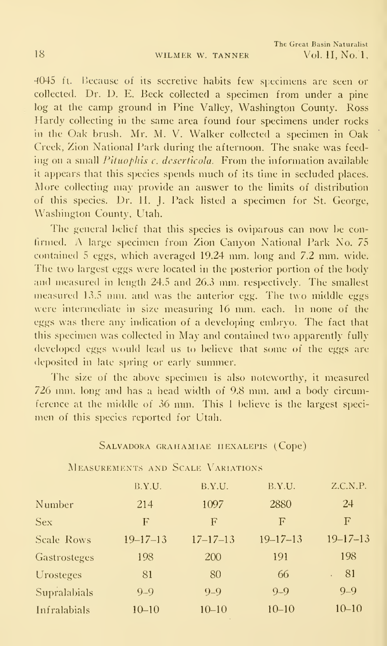4045 ft. Because of its secretive habits few specimens are seen or collected. Dr. D. E. Beck collected a specimen from under a pine log at the camp ground in Pine Valley, Washington County. Ross Hardy collecting in the same area found four specimens under rocks in the Oak brush. Mr. M. V. Walker collected a specimen in Oak Creek, Zion National Park during the afternoon. The snake was feeding on a small *Pituophis c. deserticola*. From the information available it appears that this species spends much of its time in secluded places. More collecting may provide an answer to the limits of distribution of this species. Dr. 11. J. Pack listed <sup>a</sup> specimen for St. George, Washington County, Utah.

The general belief that this species is oviparous can now be confirmed. A large specimen from Zion Canyon National Park No. 75 contained <sup>5</sup> eggs, which averaged 19.24 mm. long and 7.2 mm. wide. The two largest eggs were located in the posterior portion of the body and measured in length 24.5 and 26.3 mm. respectively. The smallest measured 13.5 mm. and was the anterior egg. The two middle eggs were intermediate in size measuring 16 mm. each. In none of the eggs was there any indication of a developing embryo. The fact that this specimen was collected in May and contained two apparently fully developed eggs would lead us to believe that some of the eggs are deposited in late spring or early summer.

The size of the above specimen is also noteworthy, it measured 726 mm. long and has <sup>a</sup> head width of 9.8 mm. and <sup>a</sup> body circumference at the middle of 36 mm. This <sup>1</sup> believe is the largest speci men of this species reported for Utah.

#### SALVADORA GRAHAMIAE HEXALEPIS (Cope)

|                   | B.Y.U.         | B.Y.U.         | B.Y.U.         | Z.C.N.P.       |
|-------------------|----------------|----------------|----------------|----------------|
| Number            | 214            | 1097           | 2880           | 24             |
| <b>Sex</b>        | F              | F              | $\mathbf F$    | $_{\rm F}$     |
| <b>Scale Rows</b> | $19 - 17 - 13$ | $17 - 17 - 13$ | $19 - 17 - 13$ | $19 - 17 - 13$ |
| Gastrosteges      | 198            | 200            | 191            | 198            |
| Urosteges         | 81             | 80             | 66             | 81             |
| Supralabials      | $9 - 9$        | $9 - 9$        | $9 - 9$        | $9 - 9$        |
| Infralabials      | $10 - 10$      | $10 - 10$      | $10 - 10$      | $10 - 10$      |

MEASUREMENTS AND SCALE VARIATIONS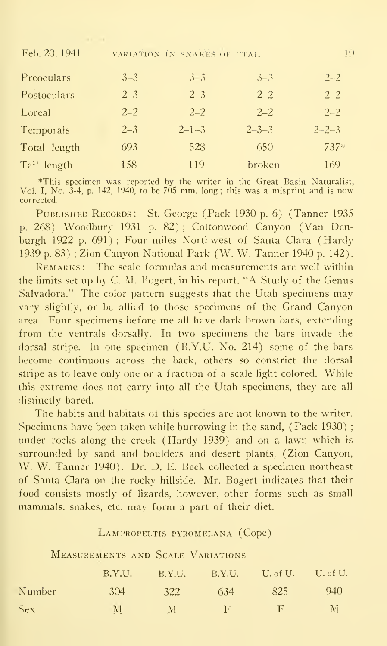| Feb. 20, 1941 | VARIATION IN SNAKES OF UTAH |             |             |             |
|---------------|-----------------------------|-------------|-------------|-------------|
| Preoculars    | $3 - 3$                     | $3 - 3$     | $3 - 3$     | $2 - 2$     |
| Postoculars   | $2 - 3$                     | $2 - 3$     | $2 - 2$     | $2 - 2$     |
| Loreal        | $2 - 2$                     | $2 - 2$     | $2 - 2$     | $2 - 2$     |
| Temporals     | $2 - 3$                     | $2 - 1 - 3$ | $2 - 3 - 3$ | $2 - 2 - 3$ |
| Total length  | 693                         | 528         | 650         | $737*$      |
| Tail length   | 158                         | 119         | broken      | 169         |

\*This specimen was reported by the writer in the Great Basin Naturalist, Vol. I, No. 3-4, p. 142, 1940, to be 705 mm. long; this was a misprint and is now corrected.

PUBLISHED RECORDS: St. George (Pack 1930 p. 6) (Tanner 1935 p. 268) Woodbury 1931 p. 82); Cottonwood Canyon (Van Denburgh 1922 p. 691); Four miles Northwest of Santa Clara (Hardy 1939 p. 83); Zion Canyon National Park (W. W. Tanner 1940 p. 142).

REMARKS: The scale formulas and measurements are well within the limits set up by C. M. Bogert, in his report, "A Study of the Genus Salvadora." The color pattern suggests that the Utah specimens may vary slightly, or be allied to those specimens of the Grand Canyon area. Four specimens before me all have dark brown bars, extending from the ventrals dorsally. In two specimens the bars invade the dorsal stripe. In one specimen  $(B.Y.U. No. 214)$  some of the bars become continuous across the back, others so constrict the dorsal stripe as to leave only one or a fraction of a scale light colored. While this extreme does not carry into all the Utah specimens, they are all distinctly bared.

The habits and habitats of this species are not known to the writer. Specimens have been taken while burrowing in the sand, (Pack 1930); under rocks along the creek (Hardy 1939) and on a lawn which is surrounded by sand and boulders and desert plants, (Zion Canyon, W. W. Tanner 1940). Dr. D. E. Beck collected a specimen northeast of Santa Clara on the rocky hillside. Mr. Bogert indicates that their food consists mostly of lizards, however, other forms such as small mammals, snakes, etc. may form a part of their diet.

#### LAMPROPELTIS PYROMELANA (Cope)

#### **MEASUREMENTS AND SCALE VARIATIONS**

|        |                |         |     | $B.Y.U.$ $B.Y.U.$ $B.Y.U.$ $U.$ of $U.$ $U.$ of $U.$ |         |
|--------|----------------|---------|-----|------------------------------------------------------|---------|
| Number | $-304$         | 322     | 634 | 825                                                  | - 940 - |
| Sex:   | $\sim$ $\rm M$ | $M = 1$ |     | $- F$                                                | $-M$    |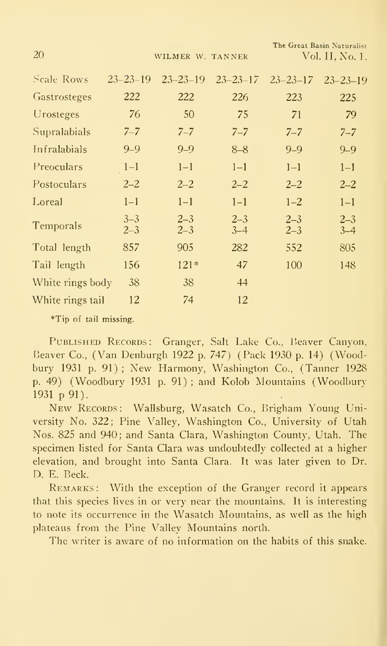WILMER W. TANNER

The Great Basin Naturalist Vol. II, No. 1.

| Scale Rows       | $23 - 23 - 19$     | $23 - 23 - 19$     | $23 - 23 - 17$     | $23 - 23 - 17$     | $23 - 23 - 19$     |
|------------------|--------------------|--------------------|--------------------|--------------------|--------------------|
| Gastrosteges     | 222                | 222                | 226                | 223                | 225                |
| Urosteges        | 76                 | 50                 | 75                 | 71                 | 79                 |
| Supralabials     | $7 - 7$            | $7 - 7$            | $7 - 7$            | $7 - 7$            | $7 - 7$            |
| Infralabials     | $9 - 9$            | $9 - 9$            | $8 - 8$            | $9 - 9$            | $9 - 9$            |
| Preoculars       | $1 - 1$            | $1 - 1$            | $1 - 1$            | $1 - 1$            | $1 - 1$            |
| Postoculars      | $2 - 2$            | $2 - 2$            | $2 - 2$            | $2 - 2$            | $2 - 2$            |
| Loreal           | $1 - 1$            | $1 - 1$            | $1 - 1$            | $1 - 2$            | $1 - 1$            |
| Temporals        | $3 - 3$<br>$2 - 3$ | $2 - 3$<br>$2 - 3$ | $2 - 3$<br>$3 - 4$ | $2 - 3$<br>$2 - 3$ | $2 - 3$<br>$3 - 4$ |
| Total length     | 857                | 905                | 282                | 552                | 805                |
| Tail length      | 156                | $121*$             | 47                 | 100                | 148                |
| White rings body | 38                 | 38                 | 44                 |                    |                    |
| White rings tail | 12                 | 74                 | 12                 |                    |                    |

\*Tip of tail missing.

PUBLISHED RECORDS: Granger, Salt Lake Co., Beaver Canyon, Beaver Co., (Van Denburgh 1922 p. 747) (Pack 1930 p. 14) (Woodbury 1931 p. 91); New Harmony, Washington Co., (Tanner 1928 p. 49) (Woodbury 1931 p. 91); and Kolob Mountains (Woodbury 1931 p 91).

NEW RECORDS: Wallsburg, Wasatch Co., Brigham Young University No. 322; Pine Valley, Washington Co., University of Utah Nos. 825 and 940; and Santa Clara, Washington County, Utah. The specimen listed for Santa Clara was undoubtedly collected at a higher elevation, and brought into Santa Clara. It was later given to Dr. D. E. Beck.

REMARKS: With the exception of the Granger record it appears that this species lives in or very near the mountains. It is interesting to note its occurrence in the Wasatch Mountains, as well as the high plateaus from the Pine Valley Mountains north.

The writer is aware of no information on the habits of this snake.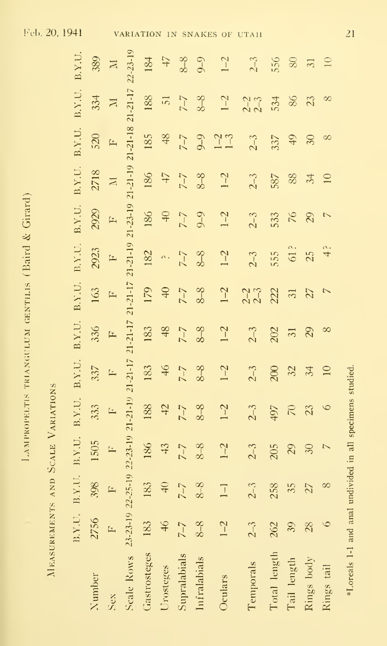| ļ                                                                                                                                                                                                                                    |
|--------------------------------------------------------------------------------------------------------------------------------------------------------------------------------------------------------------------------------------|
| j                                                                                                                                                                                                                                    |
| I                                                                                                                                                                                                                                    |
|                                                                                                                                                                                                                                      |
| ׇ֚֡֕                                                                                                                                                                                                                                 |
| l<br>I                                                                                                                                                                                                                               |
|                                                                                                                                                                                                                                      |
| è                                                                                                                                                                                                                                    |
|                                                                                                                                                                                                                                      |
|                                                                                                                                                                                                                                      |
|                                                                                                                                                                                                                                      |
|                                                                                                                                                                                                                                      |
| :<br>l                                                                                                                                                                                                                               |
|                                                                                                                                                                                                                                      |
| ֖֦֢ׅׅׅ֧֧֚֚֚֚֚֚֚֚֚֚֚֚֚֚֚֚֚֬֡֡֡֓֡֡֓֡֡֡֝֬֝֓                                                                                                                                                                                             |
|                                                                                                                                                                                                                                      |
|                                                                                                                                                                                                                                      |
|                                                                                                                                                                                                                                      |
|                                                                                                                                                                                                                                      |
| $\frac{1}{\epsilon}$<br>֚֚֡                                                                                                                                                                                                          |
| ì                                                                                                                                                                                                                                    |
|                                                                                                                                                                                                                                      |
| 1. 1. 1. 1. 1. 1.                                                                                                                                                                                                                    |
|                                                                                                                                                                                                                                      |
| ֚֡֡֡֡֡֡֡                                                                                                                                                                                                                             |
| ì                                                                                                                                                                                                                                    |
| <b>Control</b>                                                                                                                                                                                                                       |
|                                                                                                                                                                                                                                      |
|                                                                                                                                                                                                                                      |
|                                                                                                                                                                                                                                      |
| l                                                                                                                                                                                                                                    |
| í                                                                                                                                                                                                                                    |
|                                                                                                                                                                                                                                      |
| ֧֖֖֧֧ׅ֧֧֧֧֧֧֧֧֧֧֧֧֛֧֦֧֧֧֧֧֛֧֦֧֛֛֛֪֛֚֚֚֚֚֚֚֚֚֚֚֚֚֚֚֚֚֚֚֚֚֚֚֝֓֬֝֓֝֬֓֓֝֓֝֬֝֬֝֬֝֬֝֬֝֬֝֬֬֝֬֝֬<br>Î                                                                                                                                        |
| $\mathcal{L}^{\text{max}}_{\text{max}}$ and $\mathcal{L}^{\text{max}}_{\text{max}}$ and $\mathcal{L}^{\text{max}}_{\text{max}}$<br>ī                                                                                                 |
|                                                                                                                                                                                                                                      |
|                                                                                                                                                                                                                                      |
|                                                                                                                                                                                                                                      |
|                                                                                                                                                                                                                                      |
|                                                                                                                                                                                                                                      |
|                                                                                                                                                                                                                                      |
| i                                                                                                                                                                                                                                    |
| ֕                                                                                                                                                                                                                                    |
| ֚֬֕                                                                                                                                                                                                                                  |
|                                                                                                                                                                                                                                      |
|                                                                                                                                                                                                                                      |
| í                                                                                                                                                                                                                                    |
| ׇ֚֡֕                                                                                                                                                                                                                                 |
| <b>Contract of the Contract of the Contract of the Contract of the Contract of the Contract of the Contract of the Contract of the Contract of the Contract of the Contract of the Contract of the Contract of the Contract of t</b> |
|                                                                                                                                                                                                                                      |
|                                                                                                                                                                                                                                      |
|                                                                                                                                                                                                                                      |
|                                                                                                                                                                                                                                      |
|                                                                                                                                                                                                                                      |
|                                                                                                                                                                                                                                      |
|                                                                                                                                                                                                                                      |
|                                                                                                                                                                                                                                      |
|                                                                                                                                                                                                                                      |
|                                                                                                                                                                                                                                      |

MEASUREMENTS AND SCALE VARIATIONS

|                     |                     | B.Y.U.           | B.Y.U.                   | B.Y.U.                    | B.Y.U.          | B.Y.U.          | B.Y.U.            | B.Y.U.              | B.Y.U.         | B.Y.U.          | B.Y.U.          | B.Y.U.         | B.Y.U.             |
|---------------------|---------------------|------------------|--------------------------|---------------------------|-----------------|-----------------|-------------------|---------------------|----------------|-----------------|-----------------|----------------|--------------------|
| <b>Number</b>       | B.Y.U.<br>2756<br>F | 398              | 1505                     | 333                       | 337             | 336             | 163               | 2923                | 2929           | 2718            | 520             | 334            | 389                |
| $S_{\mathcal{O}}$   |                     | $\vdash$         | $\Gamma$                 | $\mathbf{r}$              | $\mathbb{R}$    | $\mathbf{r}$    | $\mathbf{r}$      | $\frac{1}{2}$       | $\mathbf{F}$   | $\Xi$           | $\mathbf{L}$    | $\boxtimes$    | $\overline{\rm M}$ |
| Scale Rows 23-23-19 |                     | $22 - 25 - 19$ . | $22 - 23 - 19$           | $21 - 21 - 19$            | $21 - 21 - 17$  | $21 - 21 - 17$  | $21 - 21 - 17$    | $(21-21-19)$        | $21 - 23 - 19$ | $21 - 21 - 19$  | $21 - 21 - 18$  | $21 - 21 - 17$ | 22-23-19           |
| Gastrosteges        | 183                 | 183              | 186                      | 188                       | 183             | 183             |                   |                     | 186            | 186             | 185             | 188            | 184                |
| Urosteges           | $\mathfrak{D}$      | 40               | 43                       | $\ddot{z}$                | 46              | 48              | $179$<br>40       | $\frac{182}{18}$ a. | $\downarrow$   | $\angle t$      | 48              | $\overline{5}$ | 47                 |
| Supralabials        |                     | $7 - 7$<br>8-8   | $7-7$                    | $7-7$                     | $7 - 7$<br>8-8  | $7 - 7$<br>8-8  | $7 - 7$<br>8-8    |                     |                | $\angle$        | $7-7$           | $\angle$       |                    |
| Infralabials        | $8-8$               |                  | $8-8$                    | $8-8$                     |                 |                 |                   | $rac{8-8}{2-2}$     | $7 - 7$        | $8-8$           | $9 - 9$         | $8-8$          | $8 - 8$            |
| Oculars             | $1-2$               | $\Box$           | $1-2$                    | $1-2$                     | $1-2$           | $1 - 2$         | $1-2$             | $1-2$               | $1-2$          | $1 - 2$         | $1 - 3$         | $1-2$          | $1-2$              |
| <b>Temporals</b>    | $2 - 3$             | $2 - 3$          | $2 - 3$                  | $2-3$                     | $2 - 3$         | $2-3$           | $\frac{2-2}{2-3}$ | $2 - 3$             | $2 - 3$        | $2 - 3$         | $2 - 3$         | $2 - 2$        | $2 - 3$            |
| Total length        |                     | 258              | 205                      | 497                       | 200             | 202             | 222               | 555                 | 533            | 587             | 337             | 534            | 556                |
| Tail length         |                     | 35               | 29                       | $\widetilde{\mathcal{L}}$ | 32              | $\overline{31}$ | 31                | 61?                 | $\sqrt{6}$     | 88              | $\overline{6}$  | $86\,$         | $\rm 80$           |
| Rings body          | $\frac{262}{3380}$  | $\overline{z}$   | $\infty$                 | $\mathfrak{Z}$            | 34              | $\infty$        | $\tilde{z}$       | 25                  | 29             | 34              | 30 <sub>o</sub> | 23             | 31                 |
| Rings tail          |                     | $\infty$         | $\overline{\phantom{0}}$ | $\circ$                   | $\overline{10}$ | $\infty$        | $\triangledown$   | $\frac{a}{4}$       | $\overline{C}$ | $\overline{10}$ | $\infty$        | $\infty$       | $\overline{10}$    |
|                     |                     |                  |                          |                           |                 |                 |                   |                     |                |                 |                 |                |                    |

\*Loreals 1-1 and anal undivided in all specimens studied.

Feb. 20, 1941

 $\overline{21}$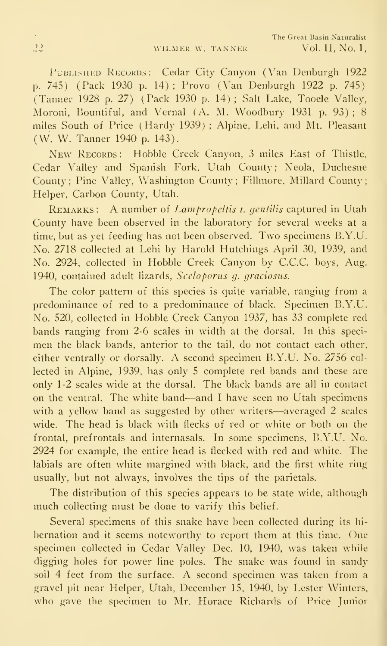PUBLISHED RECORDS: Cedar City Canyon (Van Denburgh 1922 p. 745) (Pack 1930 p. 14); Provo (Van Denburgh 1922 p. 745) (Tanner 1928 p. 27) (Pack 1930 p. 14) ; Salt Lake, Tooele Valley, Moroni, Bountiful, and Vernal (A. M. Woodbury 1931 p. 93) ; 8 miles South of Price (Hardy 1939) ; Alpine, Lehi, and Mt. Pleasant (W. W. Tanner 1940 p. 143).

New RECORDS: Hobble Creek Canyon, 3 miles East of Thistle, Cedar Valley and Spanish Fork, Utah County; Neola, Duchesne County; Pine Valley, Washington County; Fillmore. Millard County; Helper, Carbon County, Utah.

REMARKS: A number of Lampropeltis t. gentilis captured in Utah County have been observed in the laboratory for several weeks at a time, but as yet feeding has not been observed. Two specimens B.Y.U. No. 2718 collected at Lehi by Harold Hutchings April 30, 1939, and No. 2924, collected in Hobble Creek Canyon by C.C.C. boys, Aug. 1940, contained adult lizards, Sceloporus g. graciosus.

The color pattern of this species is quite variable, ranging from a predominance of red to a predominance of black. Specimen B.Y.U. No. 520, collected in Hobble Creek Canyon 1937, has 33 complete red bands ranging from 2-6 scales in width at the dorsal. In this speci men the black bands, anterior to the tail, do not contact each other, either ventrally or dorsally. A second specimen B.Y.U. No. <sup>2756</sup> col lected in Alpine, 1939, has only 5 complete red bands and these are only 1-2 scales wide at the dorsal. The black bands are all in contact on the ventral. The white band-—and <sup>I</sup>have seen no Utah specimens with <sup>a</sup> yellow band as suggested by other writers—averaged <sup>2</sup> scales wide. The head is black with flecks of red or white or both on the frontal, prefrontals and internasals. In some specimens, B.Y.U. No. 2924 for example, the entire head is flecked with red and white. The labials are often white margined with black, and the first white ring usually, but not always, involves the tips of the parietals.

The distribution of this species appears to be state wide, although much collecting must be done to varify this belief.

Several specimens of this snake have been collected during its hi bernation and it seems noteworthy to report them at this time. One specimen collected in Cedar Valley Dec. 10, 1940, was taken while digging holes for power line poles. The snake was found in sandy soil <sup>4</sup> feet from the surface. A second specimen was taken from <sup>a</sup> gravel pit near Helper, Utah, December 15, 1940, by Lester Winters, who gave the specimen to Mr. Horace Richards of Price Junior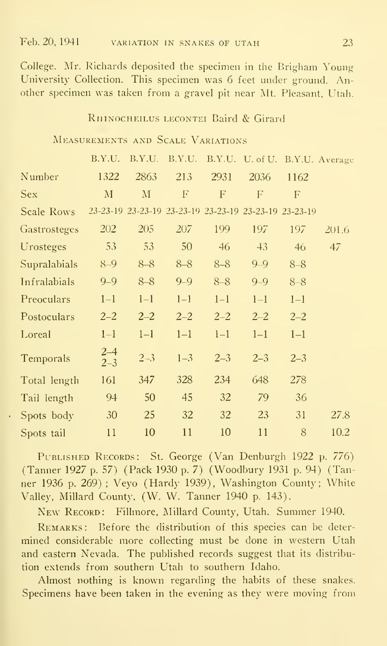College. Mr. Richards deposited the specimen in the Brigham Young University Collection. This specimen was 6 feet under ground. Another specimen was taken from a gravel pit near Mt. Pleasant, Utah.

#### RHINOCHEILUS LECONTEI Baird & Girard

#### Measurements and Scale Variations

|              | B.Y.U.             | B.Y.U.       | B.Y.U.   |         | B.Y.U. U. of U. B.Y.U. Average                        |              |       |
|--------------|--------------------|--------------|----------|---------|-------------------------------------------------------|--------------|-------|
| Number       | 1322               | 2863         | 213      | 2931    | 2036                                                  | 1162         |       |
| <b>Sex</b>   | $\mathbf{M}$       | $\mathbf{M}$ | $\Gamma$ | F       | F                                                     | $\mathbf{F}$ |       |
| Scale Rows   |                    |              |          |         | 23-23-19 23-23-19 23-23-19 23-23-19 23-23-19 23-23-19 |              |       |
| Gastrosteges | 202                | 205          | 207      | 199     | 197                                                   | 197          | 201.6 |
| Urosteges    | 53                 | 53           | 50       | 46      | $+3$                                                  | 46           | 47    |
| Supralabials | $8 - 9$            | $8 - 8$      | $8 - 8$  | $8 - 8$ | $9 - 9$                                               | $8 - 8$      |       |
| Infralabials | $9 - 9$            | $8 - 8$      | $9 - 9$  | $8 - 8$ | $9 - 9$                                               | $8 - 8$      |       |
| Preoculars   | $1 - 1$            | $1-1$        | $1 - 1$  | $1 - 1$ | $1 - 1$                                               | $1 - 1$      |       |
| Postoculars  | $2 - 2$            | $2 - 2$      | $2 - 2$  | $2 - 2$ | $2 - 2$                                               | $2 - 2$      |       |
| Loreal       | $1 - 1$            | $1 - 1$      | $1 - 1$  | $1 - 1$ | $1 - 1$                                               | $1 - 1$      |       |
| Temporals    | $2 - 4$<br>$2 - 3$ | $2 - 3$      | $1 - 3$  | $2 - 3$ | $2 - 3$                                               | $2 - 3$      |       |
| Total length | 161                | 347          | 328      | 234     | 648                                                   | 278          |       |
| Tail length  | 94                 | 50           | 45       | 32      | 79                                                    | 36           |       |
| Spots body   | 30                 | 25           | 32       | 32      | 23                                                    | 31           | 27.8  |
| Spots tail   | 11                 | 10           | 11       | 10      | 11                                                    | 8            | 10.2  |

PUBLISHED RECORDS: St. George (Van Denburgh 1922 p. 776) (Tanner 1927 p. 57) (Pack 1930 p. 7) (Woodbury 1931 p. 94) (Tanner 1936 p. 269); Veyo (Hardy 1939), Washington County; White Valley, Millard County, (W. W. Tanner 1940 p. 143).

NEW RECORD: Fillmore, Millard County, Utah. Summer 1940.

REMARKS: Before the distribution of this species can be determined considerable more collecting must be done in western Utah and eastern Nevada. The published records suggest that its distribution extends from southern Utah to southern Idaho.

Almost nothing is known regarding the habits of these snakes. Specimens have been taken in the evening as they were moving from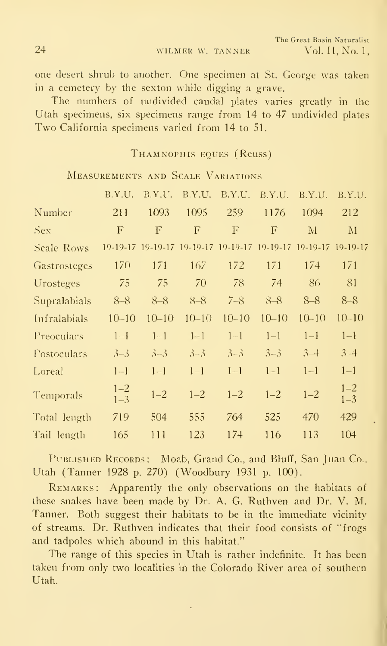24 WILMER W. TANNER

one desert shrub to another. One specimen at St. George was taken in a cemetery by the sexton while digging a grave.

The numbers of undivided caudal plates varies greatly in the Utah specimens, six specimens range from 14 to 47 undivided plates Two California specimens varied from <sup>14</sup> to 51.

#### THAMNOPHIS EQUES (Reuss)

MEASUREMENTS AND SCALE VARIATIONS.

|                     | B.Y.U.             | B.Y.U.    |              | B.Y.U. B.Y.U.                                                  | B.Y.U.    | B.Y.U.       | B.Y.U.             |  |
|---------------------|--------------------|-----------|--------------|----------------------------------------------------------------|-----------|--------------|--------------------|--|
| Number              | 211                | 1093      | 1095         | 259                                                            | 1176      | 1094         | 212                |  |
| Sex                 | F                  | F         | $\mathbf{F}$ | F                                                              | F         | $\mathbf{M}$ | $\mathbf{M}$       |  |
| <b>Scale Rows</b>   |                    |           |              | 19-19-17 19-19-17 19-19-17 19-19-17 19-19-17 19-19-17 19-19-17 |           |              |                    |  |
| <b>Gastrosteges</b> | 170                | 171       | 167          | 172                                                            | 171       | 174          | 171                |  |
| Urosteges           | 75                 | 75        | 70           | 78                                                             | 74        | 86           | 81                 |  |
| Supralabials        | $8 - 8$            | $8 - 8$   | $8 - 8$      | $7 - 8$                                                        | $8 - 8$   | $8 - 8$      | $8 - 8$            |  |
| Infralabials        | $10 - 10$          | $10 - 10$ | $10 - 10$    | $10 - 10$                                                      | $10 - 10$ | $10 - 10$    | $10 - 10$          |  |
| Preoculars          | $1 - 1$            | $1 - 1$   | $1 - 1$      | $1 - 1$                                                        | $1 - 1$   | $1 - 1$      | $1 - 1$            |  |
| Postoculars         | $3 - 3$            | $3 - 3$   | $3 - 3$      | $3 - 3$                                                        | $3 - 3$   | $3 - 4$      | $3 - 4$            |  |
| Loreal              | $1 - 1$            | $1 - 1$   | $1 - 1$      | $1 - 1$                                                        | $1 - 1$   | $1 - 1$      | $1 - 1$            |  |
| <b>Temporals</b>    | $1 - 2$<br>$1 - 3$ | $1 - 2$   | $1 - 2$      | $1 - 2$                                                        | $1 - 2$   | $1 - 2$      | $1 - 2$<br>$1 - 3$ |  |
| Total length        | 719                | 504       | 555          | 764                                                            | 525       | 470          | 429                |  |
| Tail length         | 165                | 111       | 123          | 174                                                            | 116       | 113          | 104                |  |
|                     |                    |           |              |                                                                |           |              |                    |  |

PUBLISHED RECORDS: Moab, Grand Co., and Bluff, San Juan Co.. Utah (Tanner 1928 p. 270) (Woodbury 1931 p. 100).

REMARKS: Apparently the only observations on the habitats of these snakes have been made by Dr. A. G. Ruthven and Dr. V. M. Tanner. Both suggest their habitats to be in the immediate vicinity of streams. Dr. Ruthven indicates that their food consists of "frogs and tadpoles which abound in this habitat."

The range of this species in Utah is rather indefinite. It has been taken from only two localities in the Colorado River area of southern Utah.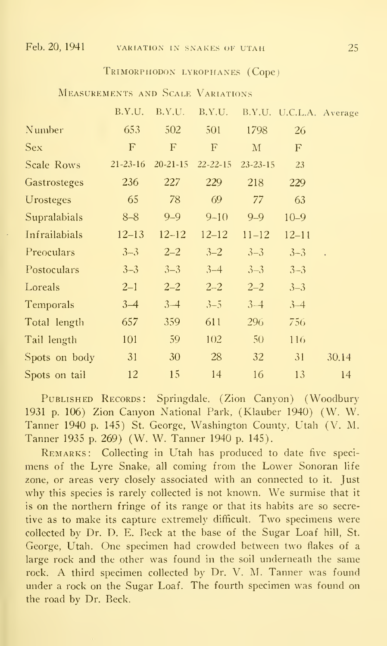#### Trimorphodon lyrophanes (Cope)

Measurements and Scale Variations

|               | B.Y.U.         | B.Y.U.         | B.Y.U.         |                 | B.Y.U. U.C.L.A. Average |                      |
|---------------|----------------|----------------|----------------|-----------------|-------------------------|----------------------|
| Number        | 653            | 502            | 501            | 1798            | 26                      |                      |
| <b>Sex</b>    | F              | F              | $\mathbf F$    | $\mathbf{M}$    | $\mathbf{F}$            |                      |
| Scale Rows    | $21 - 23 - 16$ | $20 - 21 - 15$ | $22 - 22 - 15$ | $23 - 23 - 15$  | 23                      |                      |
| Gastrosteges  | 236            | 227            | 229            | 218             | 229                     |                      |
| Urosteges     | 65             | 78             | 69             | 77              | 63                      |                      |
| Supralabials  | $8 - 8$        | $9 - 9$        | $9 - 10$       | $9 - 9$         | $10 - 9$                |                      |
| Infrailabials | $12 - 13$      | $12 - 12$      | $12 - 12$      | $11 - 12$       | $12 - 11$               |                      |
| Preoculars    | $3 - 3$        | $2 - 2$        | $3 - 2$        | $3 - 3$         | $3 - 3$                 | $\ddot{\phantom{a}}$ |
| Postoculars   | $3 - 3$        | $3 - 3$        | $3 - 4$        | $3 - 3$         | $3 - 3$                 |                      |
| Loreals       | $2 - 1$        | $2 - 2$        | $2 - 2$        | $2 - 2$         | $3 - 3$                 |                      |
| Temporals     | $3-4$          | $3 - 4$        | $3 - 5$        | $3 - 4$         | $3 - 4$                 |                      |
| Total length  | 657            | 359            | 611            | 296             | 756                     |                      |
| Tail length   | 101            | 59             | 102            | 50 <sub>2</sub> | 116                     |                      |
| Spots on body | 31             | 30             | 28             | 32              | 31                      | 30.14                |
| Spots on tail | 12             | 15             | 14             | 16              | 13                      | 14                   |

PUBLISHED RECORDS: Springdale, (Zion Canyon) (Woodbury 1931 p. 106) Zion Canyon National Park, (Klauber 1940) (W. W. Tanner 1940 p. 145) St. George, Washington County, Utah (V. M. Tanner 1935 p. 269) (W. W. Tanner 1940 p. 145).

REMARKS: Collecting in Utah has produced to date five specimens of the Lyre Snake, all coming from the Lower Sonoran life zone, or areas very closely associated with an connected to it. Just why this species is rarely collected is not known. We surmise that it is on the northern fringe of its range or that its habits are so secretive as to make its capture extremely difficult. Two specimens were collected by Dr. D. E. Beck at the base of the Sugar Loaf hill, St. George, Utah. One specimen had crowded between two flakes of a large rock and the other was found in the soil underneath the same rock. A third specimen collected by Dr. V. M. Tanner was found under a rock on the Sugar Loaf. The fourth specimen was found on the road by Dr. Beck.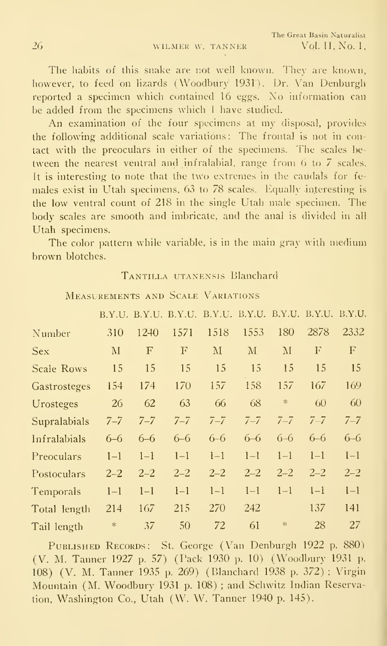The habits of this snake are not well known. They are known, however, to feed on lizards (Woodbury 1931). Dr. Van Denburgh reported a specimen which contained 16 eggs. No information can be added from the specimens which <sup>I</sup> have studied.

An examination of the four specimens at my disposal, provides the following additional scale variations : The frontal is not in contact with the preoculars in either of the specimens. The scales be tween the nearest ventral and infralabial, range from 6 to 7 scales. It is interesting to note that the two extremes in the caudals for fe males exist in Utah specimens, 63 to 78 scales. Equally interesting is the low ventral count of 218 in the single Utah male specimen. The body scales are smooth and imbricate, and the anal is divided in all Utah specimens.

The color pattern while variable, is in the main gray with medium brown blotches.

#### TANTILLA UTANENSIS Blanchard

|                   |              |             |             | B.Y.U. B.Y.U. B.Y.U. B.Y.U. B.Y.U. B.Y.U. B.Y.U. B.Y.U. |         |                   |         |                           |  |
|-------------------|--------------|-------------|-------------|---------------------------------------------------------|---------|-------------------|---------|---------------------------|--|
| Number            | 310          | 1240        | 1571        | 1518                                                    | 1553    | 180               | 2878    | 2332                      |  |
| Sex               | $\mathbf{M}$ | $\mathbf F$ | $\mathbf F$ | $\mathbf{M}$                                            | M       | $\rm M$           | F       | $\boldsymbol{\mathrm{F}}$ |  |
| <b>Scale Rows</b> | 15           | 15          | 15          | 15                                                      | 15      | 15                | 15      | 15                        |  |
| Gastrosteges      | 154          | 174         | 170         | 157                                                     | 158     | 157               | 167     | 169                       |  |
| Urosteges         | 26           | 62          | 63          | 66                                                      | 68      | $\mathcal{H}$     | 60      | 60                        |  |
| Supralabials      | $7 - 7$      | $7 - 7$     | $7 - 7$     | $7 - 7$                                                 | $7 - 7$ | $7 - 7$           | $7 - 7$ | $7 - 7$                   |  |
| Infralabials      | $6 - 6$      | $6 - 6$     | $6 - 6$     | $6 - 6$                                                 | $6 - 6$ | $6 - 6$           | $6 - 6$ | $6 - 6$                   |  |
| Preoculars        | $1 - 1$      | $1 - 1$     | $1 - 1$     | $1 - 1$                                                 | $1 - 1$ | $1 - 1$           | $1 - 1$ | $1 - 1$                   |  |
| Postoculars       | $2 - 2$      | $2 - 2$     | $2 - 2$     | $2 - 2$                                                 | $2 - 2$ | $2 - 2$           | $2 - 2$ | $2 - 2$                   |  |
| Temporals         | $1 - 1$      | $1 - 1$     | $1 - 1$     | $1 - 1$                                                 | $1 - 1$ | $1 - 1$           | $1-1$   | $1 - 1$                   |  |
| Total length      | 214          | 167         | 215         | 270                                                     | 242     |                   | 137     | 141                       |  |
| $Tail$ length     | $\ast$       | 37          | 50          | 72                                                      | 61      | $\frac{1}{2} \xi$ | 28      | 27                        |  |

Measurements and Scale Variations

PUBLISHED RECORDS: St. George (Van Denburgh 1922 p. 880) (V. M. Tanner 1927 p. 57) (Pack 1930 p. 10) (Woodbury 1931 p. 108) (V. M. Tanner 1935 p. 269) (Blanchard 1938 p. 372); Virgin Mountain (M. Woodbury 1931 p. 108); and Schwitz Indian Reservation, Washington Co., Utah (W. W. Tanner 1940 p. 145).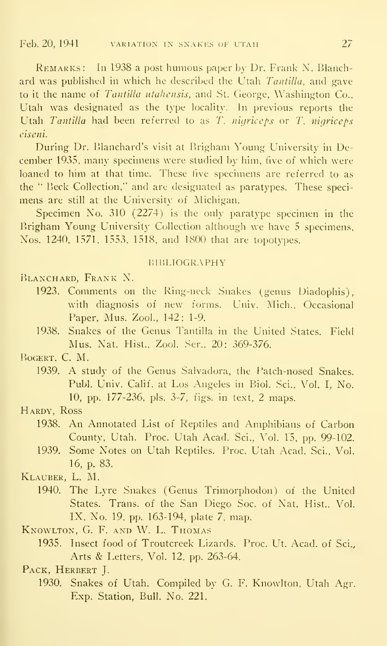REMARKS: In 1938 a post humous paper by Dr. Frank N. Blanchard was published in which he described the Utah  $Tantilla$ , and gave to it the name of Tantilla utahensis, and St. George, Washington Co., Utah was designated as the type locality. In previous reports the Utah Tantilla had been referred to as T. nigriceps or T. nigriceps ciseni.

During Dr. Blanchard's visit at Brigham Young University in December 1935, many specimens were studied by him, five of which were loaned to him at that time. These five specimens are referred to as the " Beck Collection," and are designated as paratypes. These speci mens are still at the University of Michigan.

Specimen No. 310 (2274) is the only paratype specimen in the Brigham Young University Collection although we have <sup>5</sup> specimens, Nos. 1240, 1571, 1553. 1518, and 1800 that are topotypes.

#### **BIBLIOGRAPHY**

BLANCHARD, FRANK N.

- 1923. Comments on the Ring-neck Snakes (genus Diadophis), with diagnosis of new forms. Univ. Mich., Occasional Paper, Mus. Zool., 142: 1-9.
- 1938. Snakes of the Genus Tantilla in the United States. Field Mus. Nat. Hist., Zool. Ser., 20: 369-376.

BOGERT, C. M.

1939. A study of the Genus Salvadora, the Patch-nosed Snakes. Pubk Univ. Calif, at Los Angeles in Biol. Sci., Vol. I, No. 10, pp. 177-236, pis. 3-7, figs, in text, 2 maps.

#### Hardy, Ross

- 1938. An Annotated List of Reptiles and Amphibians of Carbon County, Utah. Proc. Utah Acad. Sci., Vol. 15, pp. 99-102.
- 1939. Some Notes on Utah Reptiles. Proc. Utah Acad. Sci., Vol. 16, p. 83.

Klauber, L. M.

1940. The Lyre Snakes (Genus Trimorphodon) of the United States. Trans. of the San Diego Soc. of Nat. Hist., Vol. IX, No. 19, pp. 163-194, plate 7, map.

Knowlton, G. F. and W. L. Thomas

1935. Insect food of Troutcreek Lizards. Proc. Ut. Acad, of Sci., Arts & Letters, Vol. 12, pp. 263-64.

PACK, HERBERT J.

1930. Snakes of Utah. Compiled by G. F. Knowlton. Utah Agr. Exp. Station, Bull. No. 221.